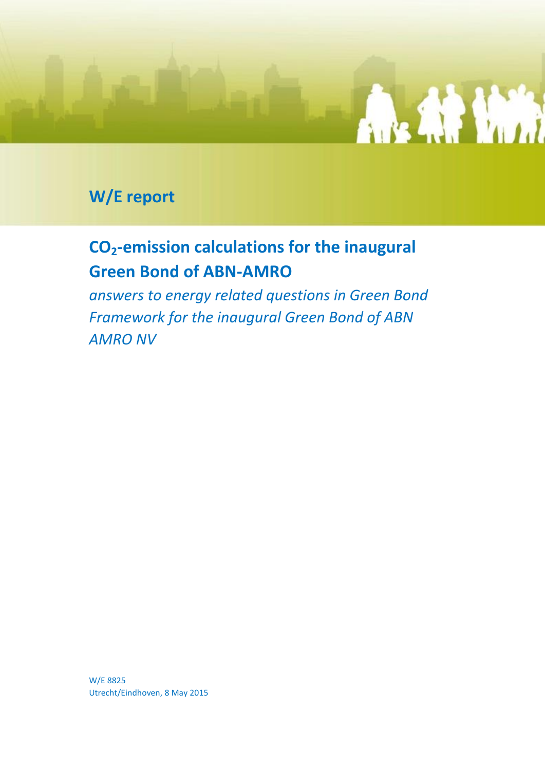

### **W/E report**

## **CO2-emission calculations for the inaugural Green Bond of ABN-AMRO**

*answers to energy related questions in Green Bond Framework for the inaugural Green Bond of ABN AMRO NV*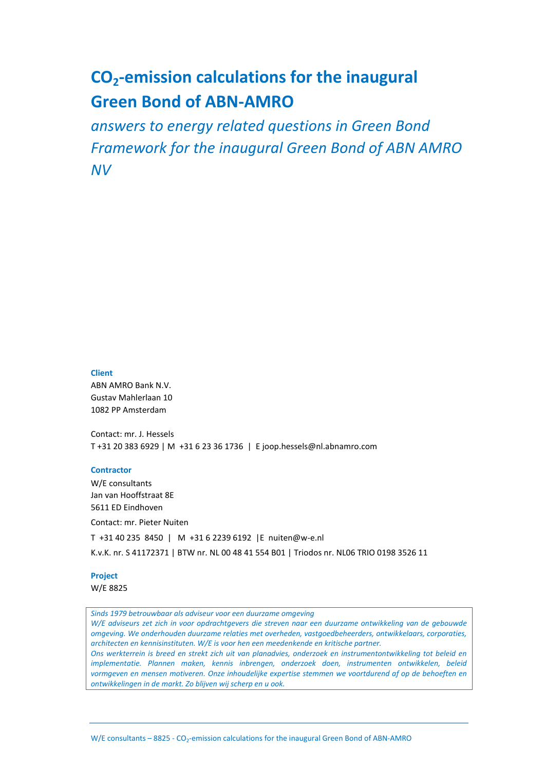### **CO2-emission calculations for the inaugural Green Bond of ABN-AMRO**

*answers to energy related questions in Green Bond Framework for the inaugural Green Bond of ABN AMRO NV*

#### **Client**

ABN AMRO Bank N.V. Gustav Mahlerlaan 10 1082 PP Amsterdam

Contact: mr. J. Hessels T +31 20 383 6929 | M +31 6 23 36 1736 | E joop.hessels@nl.abnamro.com

#### **Contractor**

W/E consultants Jan van Hooffstraat 8E 5611 ED Eindhoven Contact: mr. Pieter Nuiten T +31 40 235 8450 | M +31 6 2239 6192 |E nuiten@w-e.nl K.v.K. nr. S 41172371 | BTW nr. NL 00 48 41 554 B01 | Triodos nr. NL06 TRIO 0198 3526 11

#### **Project**

W/E 8825

*Sinds 1979 betrouwbaar als adviseur voor een duurzame omgeving*

*W/E adviseurs zet zich in voor opdrachtgevers die streven naar een duurzame ontwikkeling van de gebouwde omgeving. We onderhouden duurzame relaties met overheden, vastgoedbeheerders, ontwikkelaars, corporaties, architecten en kennisinstituten. W/E is voor hen een meedenkende en kritische partner.*

*Ons werkterrein is breed en strekt zich uit van planadvies, onderzoek en instrumentontwikkeling tot beleid en implementatie. Plannen maken, kennis inbrengen, onderzoek doen, instrumenten ontwikkelen, beleid vormgeven en mensen motiveren. Onze inhoudelijke expertise stemmen we voortdurend af op de behoeften en ontwikkelingen in de markt. Zo blijven wij scherp en u ook.*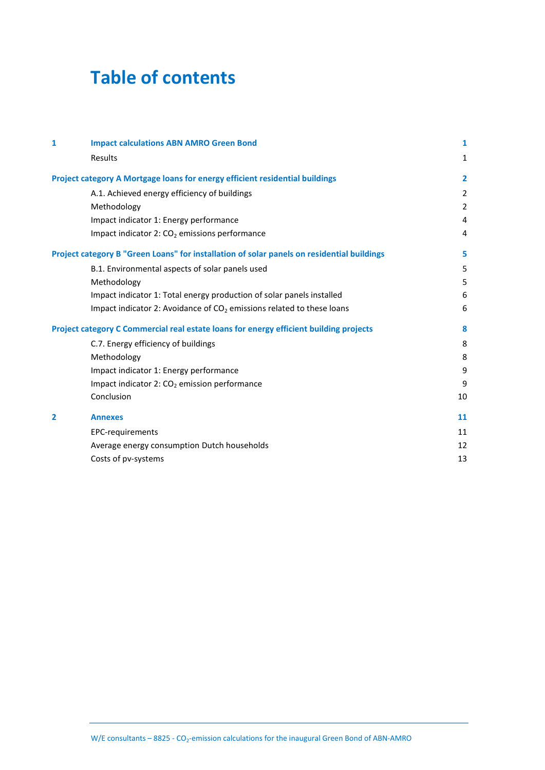# **Table of contents**

| 1              | <b>Impact calculations ABN AMRO Green Bond</b>                                             | 1              |
|----------------|--------------------------------------------------------------------------------------------|----------------|
|                | Results                                                                                    | 1              |
|                | Project category A Mortgage loans for energy efficient residential buildings               | $\overline{2}$ |
|                | A.1. Achieved energy efficiency of buildings                                               | 2              |
|                | Methodology                                                                                | $\overline{2}$ |
|                | Impact indicator 1: Energy performance                                                     | 4              |
|                | Impact indicator 2: CO <sub>2</sub> emissions performance                                  | 4              |
|                | Project category B "Green Loans" for installation of solar panels on residential buildings | 5              |
|                | B.1. Environmental aspects of solar panels used                                            | 5              |
|                | Methodology                                                                                | 5              |
|                | Impact indicator 1: Total energy production of solar panels installed                      | 6              |
|                | Impact indicator 2: Avoidance of $CO2$ emissions related to these loans                    | 6              |
|                | Project category C Commercial real estate loans for energy efficient building projects     | 8              |
|                | C.7. Energy efficiency of buildings                                                        | 8              |
|                | Methodology                                                                                | 8              |
|                | Impact indicator 1: Energy performance                                                     | 9              |
|                | Impact indicator 2: $CO2$ emission performance                                             | 9              |
|                | Conclusion                                                                                 | 10             |
| $\overline{2}$ | <b>Annexes</b>                                                                             | 11             |
|                | EPC-requirements                                                                           | 11             |
|                | Average energy consumption Dutch households                                                | 12             |
|                | Costs of pv-systems                                                                        | 13             |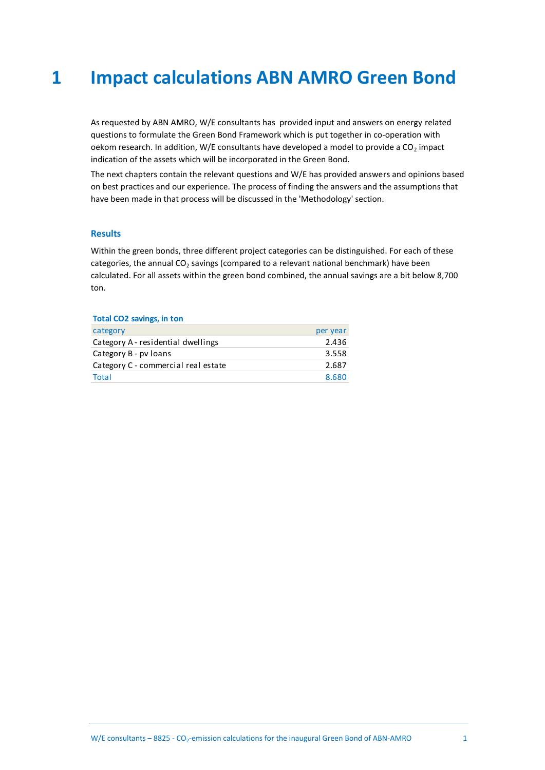# <span id="page-3-0"></span>**1 Impact calculations ABN AMRO Green Bond**

As requested by ABN AMRO, W/E consultants has provided input and answers on energy related questions to formulate the Green Bond Framework which is put together in co-operation with oekom research. In addition, W/E consultants have developed a model to provide a  $CO<sub>2</sub>$  impact indication of the assets which will be incorporated in the Green Bond.

The next chapters contain the relevant questions and W/E has provided answers and opinions based on best practices and our experience. The process of finding the answers and the assumptions that have been made in that process will be discussed in the 'Methodology' section.

#### <span id="page-3-1"></span>**Results**

Within the green bonds, three different project categories can be distinguished. For each of these categories, the annual  $CO<sub>2</sub>$  savings (compared to a relevant national benchmark) have been calculated. For all assets within the green bond combined, the annual savings are a bit below 8,700 ton.

#### **Total CO2 savings, in ton**

| category                            | per year |
|-------------------------------------|----------|
| Category A - residential dwellings  | 2.436    |
| Category B - pv loans               | 3.558    |
| Category C - commercial real estate | 2.687    |
| Total                               | 8.680    |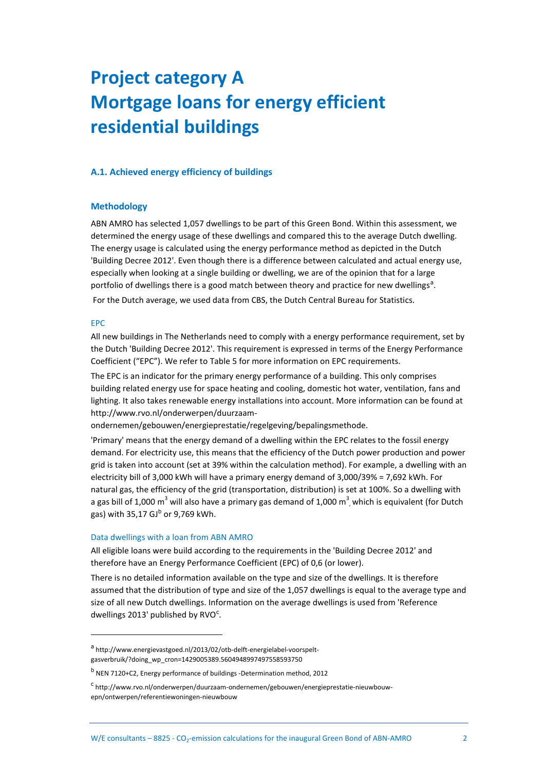# <span id="page-4-0"></span>**Project category A Mortgage loans for energy efficient residential buildings**

#### <span id="page-4-2"></span><span id="page-4-1"></span>**A.1. Achieved energy efficiency of buildings**

#### **Methodology**

ABN AMRO has selected 1,057 dwellings to be part of this Green Bond. Within this assessment, we determined the energy usage of these dwellings and compared this to the average Dutch dwelling. The energy usage is calculated using the energy performance method as depicted in the Dutch 'Building Decree 2012'. Even though there is a difference between calculated and actual energy use, especially when looking at a single building or dwelling, we are of the opinion that for a large portfolio of dwellings there is a good match between theory and practice for new dwellings<sup>a</sup>.

For the Dutch average, we used data from CBS, the Dutch Central Bureau for Statistics.

#### EPC

 $\overline{a}$ 

All new buildings in The Netherlands need to comply with a energy performance requirement, set by the Dutch 'Building Decree 2012'. This requirement is expressed in terms of the Energy Performance Coefficient ("EPC"). We refer to [Table 5](#page-13-2) for more information on EPC requirements.

The EPC is an indicator for the primary energy performance of a building. This only comprises building related energy use for space heating and cooling, domestic hot water, ventilation, fans and lighting. It also takes renewable energy installations into account. More information can be found at http://www.rvo.nl/onderwerpen/duurzaam-

ondernemen/gebouwen/energieprestatie/regelgeving/bepalingsmethode.

'Primary' means that the energy demand of a dwelling within the EPC relates to the fossil energy demand. For electricity use, this means that the efficiency of the Dutch power production and power grid is taken into account (set at 39% within the calculation method). For example, a dwelling with an electricity bill of 3,000 kWh will have a primary energy demand of 3,000/39% = 7,692 kWh. For natural gas, the efficiency of the grid (transportation, distribution) is set at 100%. So a dwelling with a gas bill of 1,000 m<sup>3</sup> will also have a primary gas demand of 1,000 m<sup>3</sup>, which is equivalent (for Dutch gas) with 35,17 GJ<sup>b</sup> or 9,769 kWh.

#### Data dwellings with a loan from ABN AMRO

All eligible loans were build according to the requirements in the 'Building Decree 2012' and therefore have an Energy Performance Coefficient (EPC) of 0,6 (or lower).

There is no detailed information available on the type and size of the dwellings. It is therefore assumed that the distribution of type and size of the 1,057 dwellings is equal to the average type and size of all new Dutch dwellings. Information on the average dwellings is used from 'Reference dwellings 2013' published by RVO<sup>c</sup>.

a<br>http://www.energievastgoed.nl/2013/02/otb-delft-energielabel-voorspeltgasverbruik/?doing\_wp\_cron=1429005389.5604948997497558593750

<sup>&</sup>lt;sup>b</sup> NEN 7120+C2, Energy performance of buildings -Determination method, 2012

<sup>&</sup>lt;sup>c</sup>http://www.rvo.nl/onderwerpen/duurzaam-ondernemen/gebouwen/energieprestatie-nieuwbouwepn/ontwerpen/referentiewoningen-nieuwbouw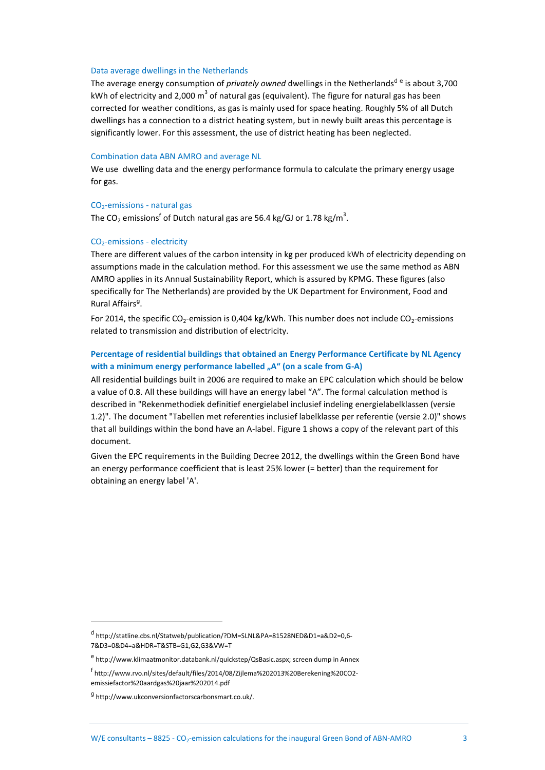#### Data average dwellings in the Netherlands

The average energy consumption of *privately owned* dwellings in the Netherlands<sup>d e</sup> is about 3,700 kWh of electricity and 2,000 m<sup>3</sup> of natural gas (equivalent). The figure for natural gas has been corrected for weather conditions, as gas is mainly used for space heating. Roughly 5% of all Dutch dwellings has a connection to a district heating system, but in newly built areas this percentage is significantly lower. For this assessment, the use of district heating has been neglected.

#### Combination data ABN AMRO and average NL

We use dwelling data and the energy performance formula to calculate the primary energy usage for gas.

#### $CO<sub>2</sub>$ -emissions - natural gas

The CO<sub>2</sub> emissions<sup>f</sup> of Dutch natural gas are 56.4 kg/GJ or 1.78 kg/m<sup>3</sup>.

#### CO<sub>2</sub>-emissions - electricity

There are different values of the carbon intensity in kg per produced kWh of electricity depending on assumptions made in the calculation method. For this assessment we use the same method as ABN AMRO applies in its Annual Sustainability Report, which is assured by KPMG. These figures (also specifically for The Netherlands) are provided by the UK Department for Environment, Food and Rural Affairs<sup>g</sup>.

For 2014, the specific CO<sub>2</sub>-emission is 0,404 kg/kWh. This number does not include CO<sub>2</sub>-emissions related to transmission and distribution of electricity.

#### **Percentage of residential buildings that obtained an Energy Performance Certificate by NL Agency**  with a minimum energy performance labelled "A" (on a scale from G-A)

All residential buildings built in 2006 are required to make an EPC calculation which should be below a value of 0.8. All these buildings will have an energy label "A". The formal calculation method is described in "Rekenmethodiek definitief energielabel inclusief indeling energielabelklassen (versie 1.2)". The document "Tabellen met referenties inclusief labelklasse per referentie (versie 2.0)" shows that all buildings within the bond have an A-label. [Figure 1](#page-6-2) shows a copy of the relevant part of this document.

Given the EPC requirements in the Building Decree 2012, the dwellings within the Green Bond have an energy performance coefficient that is least 25% lower (= better) than the requirement for obtaining an energy label 'A'.

d http://statline.cbs.nl/Statweb/publication/?DM=SLNL&PA=81528NED&D1=a&D2=0,6- 7&D3=0&D4=a&HDR=T&STB=G1,G2,G3&VW=T

e<br>http://www.klimaatmonitor.databank.nl/quickstep/QsBasic.aspx; screen dump in Annex

f http://www.rvo.nl/sites/default/files/2014/08/Zijlema%202013%20Berekening%20CO2 emissiefactor%20aardgas%20jaar%202014.pdf

<sup>&</sup>lt;sup>g</sup> http://www.ukconversionfactorscarbonsmart.co.uk/.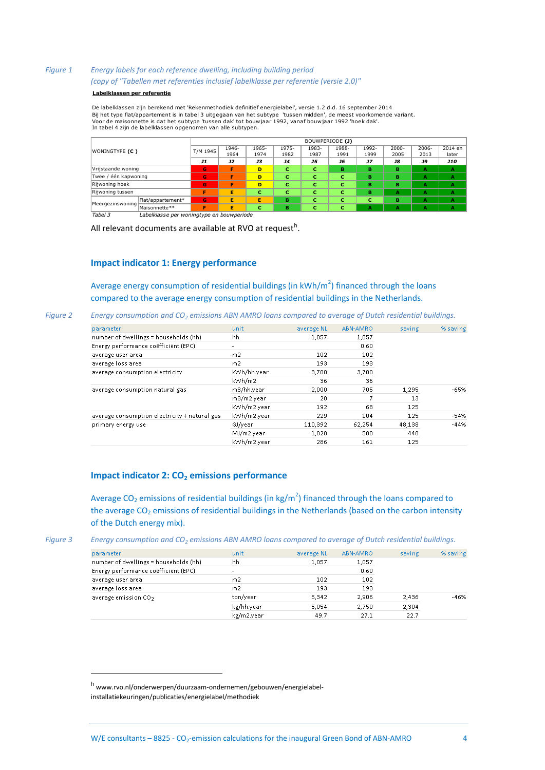#### <span id="page-6-2"></span>*Figure 1 Energy labels for each reference dwelling, including building period (copy of "Tabellen met referenties inclusief labelklasse per referentie (versie 2.0)"*

#### **Labelklassen per referentie**

De labelklassen zijn berekend met 'Rekenmethodiek definitief energielabel', versie 1.2 d.d. 16 september 2014 Bij het type flat/appartement is in tabel 3 uitgegaan van het subtype 'tussen midden', de meest voorkomende variant. **Labelklassen per referentie**<br>De labelklassen zijn berekend met 'Rekenmethodiek definitief energielabel', versie 1.2 d.d. 16 september 2<br>Bij het type flat/appartement is in tabel 3 uitgegaan van het subtype 'tussen midden'

| WONINGTYPE (C)       |                   |           |           |       |           | BOUWPERIODE (J) |       |           |           |           |            |
|----------------------|-------------------|-----------|-----------|-------|-----------|-----------------|-------|-----------|-----------|-----------|------------|
|                      |                   | T/M 1945  | 1946-     | 1965- | 1975-     | 1983-           | 1988- | 1992-     | 2000-     | 2006-     | 2014 en    |
|                      |                   |           | 1964      | 1974  | 1982      | 1987            | 1991  | 1999      | 2005      | 2013      | later      |
|                      |                   | <b>J1</b> | <b>J2</b> | J3    | <b>J4</b> | J5              | J6    | <b>J7</b> | <b>J8</b> | <b>J9</b> | <b>J10</b> |
| Vrijstaande woning   |                   | G         | F         | D     | с         | c               | в     | в         | в         | А         | А          |
| Twee / één kapwoning |                   | G         | F         | D     | с         | c               | c     | в         | в         | А         | A          |
| Rijwoning hoek       |                   | G         | F         | D     | с         | c               | c     | в         | в         | А         | A          |
| Rijwoning tussen     |                   | F         | Е         | c     | c         | c               | c     | в         | A         | А         | А          |
|                      | Flat/appartement* | G         | Е         | Е     | в         | c               | c     | с         | в         | А         | A          |
| Meergezinswoning     | Maisonnette**     | Е         | Е         | с     | в         | c               | c     | А         | А         | А         | A          |

*Tabel 3 Labelklasse per woningtype en bouwperiode*

<span id="page-6-0"></span>All relevant documents are available at RVO at request<sup>h</sup>.

#### **Impact indicator 1: Energy performance**

Average energy consumption of residential buildings (in  $kWh/m^2$ ) financed through the loans compared to the average energy consumption of residential buildings in the Netherlands.

*Figure 2 Energy consumption and CO<sup>2</sup> emissions ABN AMRO loans compared to average of Dutch residential buildings.*

| parameter                                     | unit           | average NL | ABN-AMRO | saving | % saving |
|-----------------------------------------------|----------------|------------|----------|--------|----------|
| number of dwellings = households (hh)         | hh             | 1,057      | 1,057    |        |          |
| Energy performance coëfficiënt (EPC)          |                |            | 0.60     |        |          |
| average user area                             | m <sub>2</sub> | 102        | 102      |        |          |
| average loss area                             | m2             | 193        | 193      |        |          |
| average consumption electricity               | kWh/hh.year    | 3,700      | 3,700    |        |          |
|                                               | kWh/m2         | 36         | 36       |        |          |
| average consumption natural gas               | m3/hh.year     | 2,000      | 705      | 1,295  | $-65%$   |
|                                               | m3/m2.year     | 20         | 7        | 13     |          |
|                                               | kWh/m2.year    | 192        | 68       | 125    |          |
| average consumption electricity + natural gas | kWh/m2.year    | 229        | 104      | 125    | $-54%$   |
| primary energy use                            | GJ/year        | 110,392    | 62,254   | 48,138 | $-44%$   |
|                                               | MJ/m2.year     | 1.028      | 580      | 448    |          |
|                                               | kWh/m2.vear    | 286        | 161      | 125    |          |
|                                               |                |            |          |        |          |

#### <span id="page-6-1"></span>**Impact indicator 2: CO<sup>2</sup> emissions performance**

Average CO<sub>2</sub> emissions of residential buildings (in kg/m<sup>2</sup>) financed through the loans compared to the average  $CO<sub>2</sub>$  emissions of residential buildings in the Netherlands (based on the carbon intensity of the Dutch energy mix).

<span id="page-6-3"></span>*Figure 3 Energy consumption and CO<sup>2</sup> emissions ABN AMRO loans compared to average of Dutch residential buildings.*

| parameter                             | unit       | average NL | ABN-AMRO | saving | % saving |
|---------------------------------------|------------|------------|----------|--------|----------|
| number of dwellings = households (hh) | hh         | 1.057      | 1,057    |        |          |
| Energy performance coëfficiënt (EPC)  |            |            | 0.60     |        |          |
| average user area                     | m2         | 102        | 102      |        |          |
| average loss area                     | m2         | 193        | 193      |        |          |
| average emission CO <sub>2</sub>      | ton/year   | 5.342      | 2.906    | 2,436  | $-46%$   |
|                                       | kg/hh.year | 5.054      | 2.750    | 2,304  |          |
|                                       | kg/m2.year | 49.7       | 27.1     | 22.7   |          |

<sup>h</sup> www.rvo.nl/onderwerpen/duurzaam-ondernemen/gebouwen/energielabelinstallatiekeuringen/publicaties/energielabel/methodiek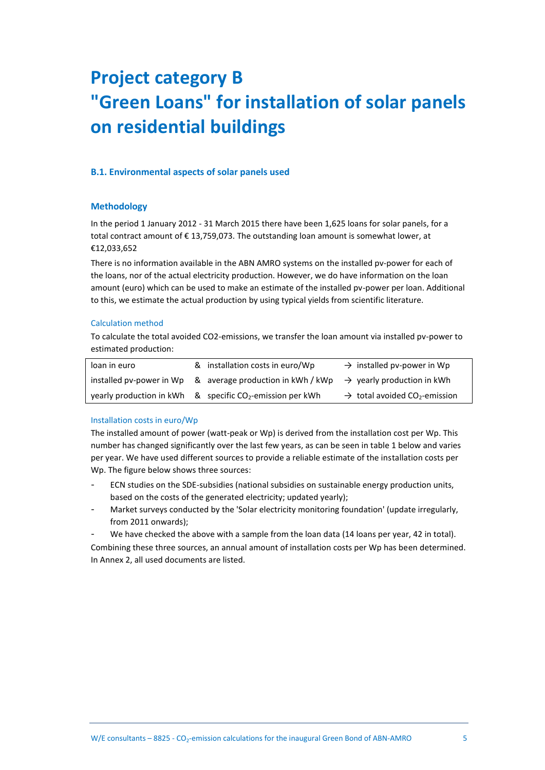# <span id="page-7-0"></span>**Project category B "Green Loans" for installation of solar panels on residential buildings**

#### <span id="page-7-2"></span><span id="page-7-1"></span>**B.1. Environmental aspects of solar panels used**

#### **Methodology**

In the period 1 January 2012 - 31 March 2015 there have been 1,625 loans for solar panels, for a total contract amount of  $\epsilon$  13,759,073. The outstanding loan amount is somewhat lower, at €12,033,652

There is no information available in the ABN AMRO systems on the installed pv-power for each of the loans, nor of the actual electricity production. However, we do have information on the loan amount (euro) which can be used to make an estimate of the installed pv-power per loan. Additional to this, we estimate the actual production by using typical yields from scientific literature.

#### Calculation method

To calculate the total avoided CO2-emissions, we transfer the loan amount via installed pv-power to estimated production:

| loan in euro | & installation costs in euro/Wp                                                                   | $\rightarrow$ installed pv-power in Wp                |
|--------------|---------------------------------------------------------------------------------------------------|-------------------------------------------------------|
|              | installed pv-power in Wp & average production in kWh / kWp $\rightarrow$ yearly production in kWh |                                                       |
|              | yearly production in kWh $\&$ specific CO <sub>2</sub> -emission per kWh                          | $\rightarrow$ total avoided CO <sub>2</sub> -emission |

#### Installation costs in euro/Wp

The installed amount of power (watt-peak or Wp) is derived from the installation cost per Wp. This number has changed significantly over the last few years, as can be seen in table 1 below and varies per year. We have used different sources to provide a reliable estimate of the installation costs per Wp. The figure below shows three sources:

- ECN studies on the SDE-subsidies (national subsidies on sustainable energy production units, based on the costs of the generated electricity; updated yearly);
- Market surveys conducted by the 'Solar electricity monitoring foundation' (update irregularly, from 2011 onwards);
- We have checked the above with a sample from the loan data (14 loans per year, 42 in total).

Combining these three sources, an annual amount of installation costs per Wp has been determined. In Annex 2, all used documents are listed.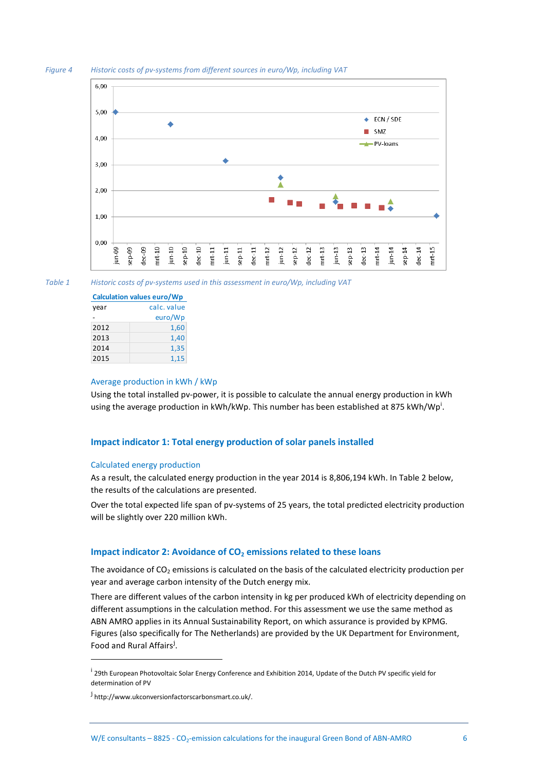



*Table 1 Historic costs of pv-systems used in this assessment in euro/Wp, including VAT* 

| <b>Calculation values euro/Wp</b> |             |  |  |  |  |
|-----------------------------------|-------------|--|--|--|--|
| vear                              | calc, value |  |  |  |  |
|                                   | euro/Wp     |  |  |  |  |
| 2012                              | 1,60        |  |  |  |  |
| 2013                              | 1,40        |  |  |  |  |
| 2014                              | 1,35        |  |  |  |  |
| 2015                              | 1.15        |  |  |  |  |

#### Average production in kWh / kWp

Using the total installed pv-power, it is possible to calculate the annual energy production in kWh using the average production in kWh/kWp. This number has been established at 875 kWh/Wp<sup>i</sup>.

#### <span id="page-8-0"></span>**Impact indicator 1: Total energy production of solar panels installed**

#### Calculated energy production

As a result, the calculated energy production in the year 2014 is 8,806,194 kWh. In [Table 2](#page-9-0) below, the results of the calculations are presented.

Over the total expected life span of pv-systems of 25 years, the total predicted electricity production will be slightly over 220 million kWh.

#### <span id="page-8-1"></span>**Impact indicator 2: Avoidance of CO<sup>2</sup> emissions related to these loans**

The avoidance of  $CO<sub>2</sub>$  emissions is calculated on the basis of the calculated electricity production per year and average carbon intensity of the Dutch energy mix.

There are different values of the carbon intensity in kg per produced kWh of electricity depending on different assumptions in the calculation method. For this assessment we use the same method as ABN AMRO applies in its Annual Sustainability Report, on which assurance is provided by KPMG. Figures (also specifically for The Netherlands) are provided by the UK Department for Environment, Food and Rural Affairs<sup>j</sup>.

<sup>&</sup>lt;sup>i</sup> 29th European Photovoltaic Solar Energy Conference and Exhibition 2014, Update of the Dutch PV specific yield for determination of PV

<sup>&</sup>lt;sup>j</sup> http://www.ukconversionfactorscarbonsmart.co.uk/.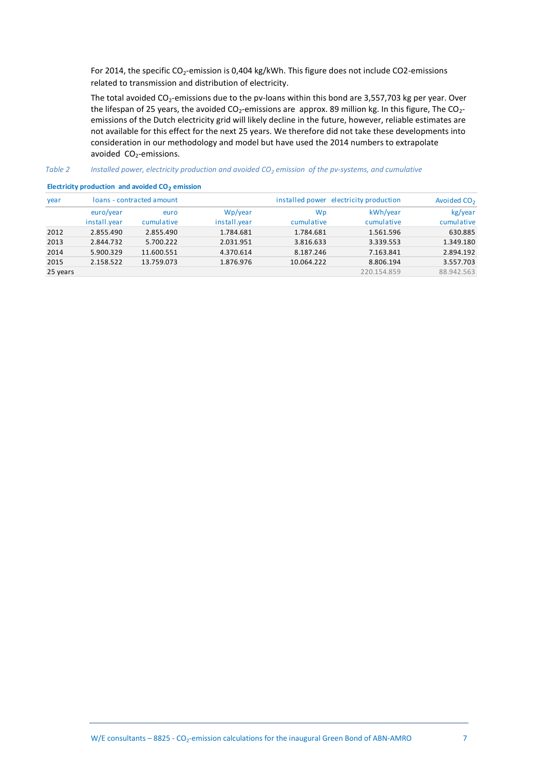For 2014, the specific  $CO_2$ -emission is 0,404 kg/kWh. This figure does not include CO2-emissions related to transmission and distribution of electricity.

The total avoided  $CO_2$ -emissions due to the pv-loans within this bond are 3,557,703 kg per year. Over the lifespan of 25 years, the avoided  $CO_2$ -emissions are approx. 89 million kg. In this figure, The  $CO_2$ emissions of the Dutch electricity grid will likely decline in the future, however, reliable estimates are not available for this effect for the next 25 years. We therefore did not take these developments into consideration in our methodology and model but have used the 2014 numbers to extrapolate avoided CO<sub>2</sub>-emissions.

#### <span id="page-9-0"></span>*Table 2 Installed power, electricity production and avoided CO<sup>2</sup> emission of the pv-systems, and cumulative*

| $I$ UNIC $\mathcal{L}$ | motunca power, cicculicity production and avoided CO3 chillsolon of the pv systems, and califabritie |                           |              |            |                                        |                         |  |  |  |  |  |
|------------------------|------------------------------------------------------------------------------------------------------|---------------------------|--------------|------------|----------------------------------------|-------------------------|--|--|--|--|--|
|                        | Electricity production and avoided CO <sub>2</sub> emission                                          |                           |              |            |                                        |                         |  |  |  |  |  |
| year                   |                                                                                                      | loans - contracted amount |              |            | installed power electricity production | Avoided CO <sub>2</sub> |  |  |  |  |  |
|                        | euro/year                                                                                            | euro                      | Wp/year      | Wp         | kWh/year                               | kg/year                 |  |  |  |  |  |
|                        | install.year                                                                                         | cumulative                | install.year | cumulative | cumulative                             | cumulative              |  |  |  |  |  |
| 2012                   | 2.855.490                                                                                            | 2.855.490                 | 1.784.681    | 1.784.681  | 1.561.596                              | 630.885                 |  |  |  |  |  |
| 2013                   | 2.844.732                                                                                            | 5.700.222                 | 2.031.951    | 3.816.633  | 3.339.553                              | 1.349.180               |  |  |  |  |  |
| 2014                   | 5.900.329                                                                                            | 11.600.551                | 4.370.614    | 8.187.246  | 7.163.841                              | 2.894.192               |  |  |  |  |  |
| 2015                   | 2.158.522                                                                                            | 13.759.073                | 1.876.976    | 10.064.222 | 8.806.194                              | 3.557.703               |  |  |  |  |  |
| 25 years               |                                                                                                      |                           |              |            | 220.154.859                            | 88.942.563              |  |  |  |  |  |
|                        |                                                                                                      |                           |              |            |                                        |                         |  |  |  |  |  |

#### **Electricity production and avoided CO<sup>2</sup> emission**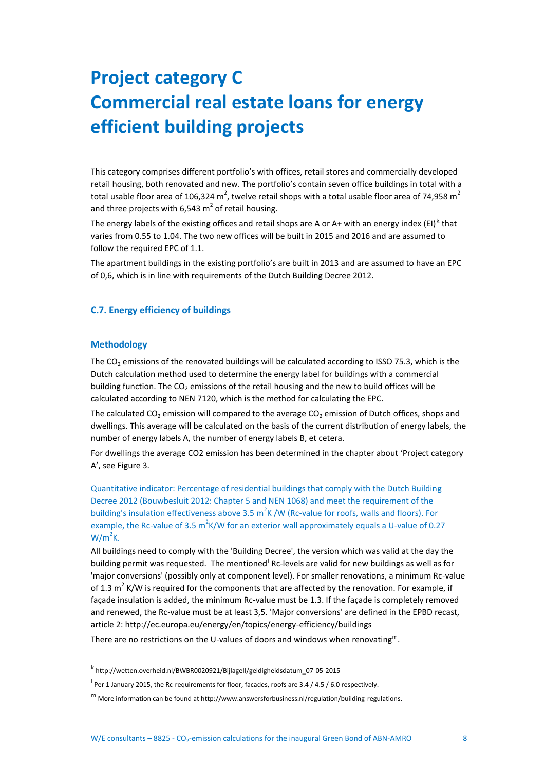# <span id="page-10-0"></span>**Project category C Commercial real estate loans for energy efficient building projects**

This category comprises different portfolio's with offices, retail stores and commercially developed retail housing, both renovated and new. The portfolio's contain seven office buildings in total with a total usable floor area of 106,324 m<sup>2</sup>, twelve retail shops with a total usable floor area of 74,958 m<sup>2</sup> and three projects with 6,543  $m^2$  of retail housing.

The energy labels of the existing offices and retail shops are A or A+ with an energy index (EI)<sup>k</sup> that varies from 0.55 to 1.04. The two new offices will be built in 2015 and 2016 and are assumed to follow the required EPC of 1.1.

The apartment buildings in the existing portfolio's are built in 2013 and are assumed to have an EPC of 0,6, which is in line with requirements of the Dutch Building Decree 2012.

#### <span id="page-10-2"></span><span id="page-10-1"></span>**C.7. Energy efficiency of buildings**

#### **Methodology**

 $\overline{a}$ 

The  $CO<sub>2</sub>$  emissions of the renovated buildings will be calculated according to ISSO 75.3, which is the Dutch calculation method used to determine the energy label for buildings with a commercial building function. The  $CO<sub>2</sub>$  emissions of the retail housing and the new to build offices will be calculated according to NEN 7120, which is the method for calculating the EPC.

The calculated CO<sub>2</sub> emission will compared to the average CO<sub>2</sub> emission of Dutch offices, shops and dwellings. This average will be calculated on the basis of the current distribution of energy labels, the number of energy labels A, the number of energy labels B, et cetera.

For dwellings the average CO2 emission has been determined in the chapter about 'Project category A', see [Figure 3.](#page-6-3)

Quantitative indicator: Percentage of residential buildings that comply with the Dutch Building Decree 2012 (Bouwbesluit 2012: Chapter 5 and NEN 1068) and meet the requirement of the building's insulation effectiveness above 3.5 m<sup>2</sup>K /W (Rc-value for roofs, walls and floors). For example, the Rc-value of 3.5 m<sup>2</sup>K/W for an exterior wall approximately equals a U-value of 0.27  $W/m^2K$ .

All buildings need to comply with the 'Building Decree', the version which was valid at the day the building permit was requested. The mentioned Rc-levels are valid for new buildings as well as for 'major conversions' (possibly only at component level). For smaller renovations, a minimum Rc-value of 1.3  $m^2$  K/W is required for the components that are affected by the renovation. For example, if façade insulation is added, the minimum Rc-value must be 1.3. If the façade is completely removed and renewed, the Rc-value must be at least 3,5. 'Major conversions' are defined in the EPBD recast, article 2: http://ec.europa.eu/energy/en/topics/energy-efficiency/buildings

There are no restrictions on the U-values of doors and windows when renovating<sup>m</sup>.

k http://wetten.overheid.nl/BWBR0020921/BijlageII/geldigheidsdatum\_07-05-2015

<sup>&</sup>lt;sup>l</sup> Per 1 January 2015, the Rc-requirements for floor, facades, roofs are 3.4 / 4.5 / 6.0 respectively.

 $<sup>m</sup>$  More information can be found at http://www.answersforbusiness.nl/regulation/building-regulations.</sup>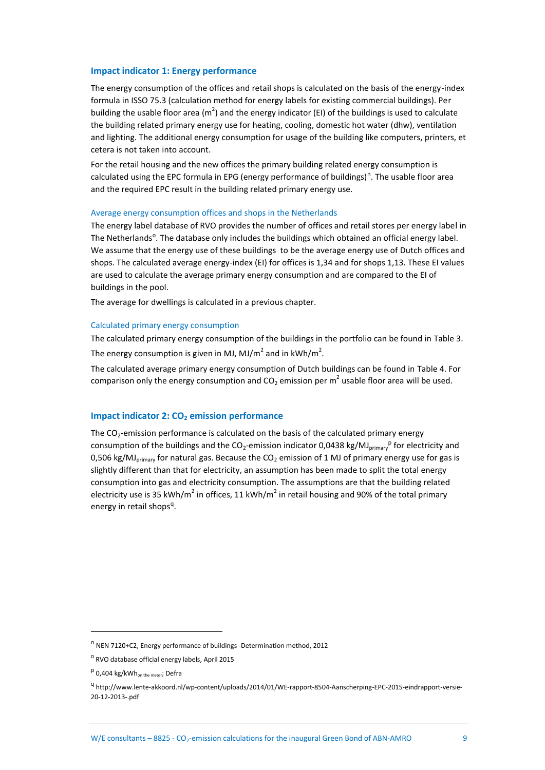#### <span id="page-11-0"></span>**Impact indicator 1: Energy performance**

The energy consumption of the offices and retail shops is calculated on the basis of the energy-index formula in ISSO 75.3 (calculation method for energy labels for existing commercial buildings). Per building the usable floor area ( $m^2$ ) and the energy indicator (EI) of the buildings is used to calculate the building related primary energy use for heating, cooling, domestic hot water (dhw), ventilation and lighting. The additional energy consumption for usage of the building like computers, printers, et cetera is not taken into account.

For the retail housing and the new offices the primary building related energy consumption is calculated using the EPC formula in EPG (energy performance of buildings)<sup>n</sup>. The usable floor area and the required EPC result in the building related primary energy use.

#### Average energy consumption offices and shops in the Netherlands

The energy label database of RVO provides the number of offices and retail stores per energy label in The Netherlands<sup>o</sup>. The database only includes the buildings which obtained an official energy label. We assume that the energy use of these buildings to be the average energy use of Dutch offices and shops. The calculated average energy-index (EI) for offices is 1,34 and for shops 1,13. These EI values are used to calculate the average primary energy consumption and are compared to the EI of buildings in the pool.

The average for dwellings is calculated in a previous chapter.

#### Calculated primary energy consumption

The calculated primary energy consumption of the buildings in the portfolio can be found in [Table 3.](#page-12-1) The energy consumption is given in MJ, MJ/m<sup>2</sup> and in kWh/m<sup>2</sup>.

The calculated average primary energy consumption of Dutch buildings can be found in [Table 4.](#page-12-2) For comparison only the energy consumption and CO<sub>2</sub> emission per m<sup>2</sup> usable floor area will be used.

#### <span id="page-11-1"></span>**Impact indicator 2: CO<sub>2</sub> emission performance**

The  $CO<sub>2</sub>$ -emission performance is calculated on the basis of the calculated primary energy consumption of the buildings and the CO<sub>2</sub>-emission indicator 0,0438 kg/MJ<sub>primary</sub><sup>p</sup> for electricity and 0,506 kg/MJ<sub>primary</sub> for natural gas. Because the CO<sub>2</sub> emission of 1 MJ of primary energy use for gas is slightly different than that for electricity, an assumption has been made to split the total energy consumption into gas and electricity consumption. The assumptions are that the building related electricity use is 35 kWh/m<sup>2</sup> in offices, 11 kWh/m<sup>2</sup> in retail housing and 90% of the total primary energy in retail shops<sup>q</sup>.

<sup>&</sup>lt;sup>n</sup> NEN 7120+C2, Energy performance of buildings -Determination method, 2012

<sup>&</sup>lt;sup>o</sup> RVO database official energy labels, April 2015

<sup>&</sup>lt;sup>p</sup> 0,404 kg/kWh<sub>on the meter</sub>; Defra

<sup>&</sup>lt;sup>q</sup> http://www.lente-akkoord.nl/wp-content/uploads/2014/01/WE-rapport-8504-Aanscherping-EPC-2015-eindrapport-versie-20-12-2013-.pdf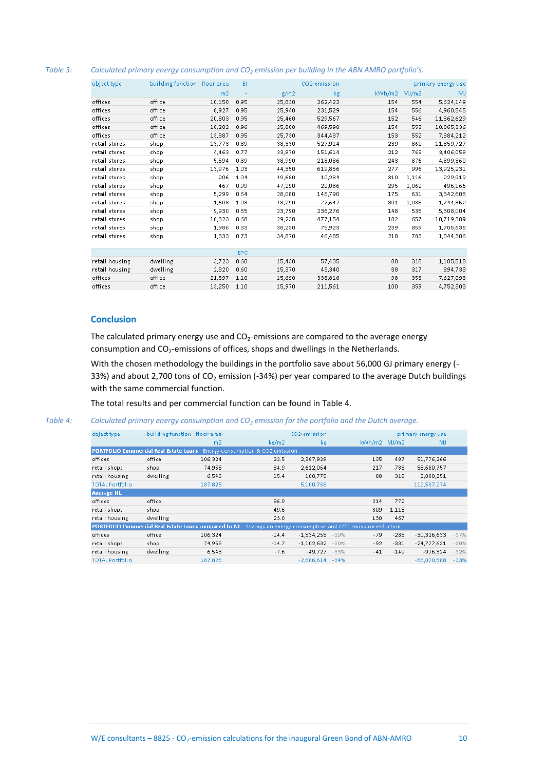#### <span id="page-12-1"></span>*Table 3: Calculated primary energy consumption and CO<sup>2</sup> emission per building in the ABN AMRO portfolio's.*

| object type    | building function floor area |                | EI   |        | CO2-emission |        |       | primary energy use |
|----------------|------------------------------|----------------|------|--------|--------------|--------|-------|--------------------|
|                |                              | m <sub>2</sub> | ٠    | g/m2   | kg           | kWh/m2 | MJ/m2 | MJ                 |
| offices        | office                       | 10,158         | 0.95 | 25,830 | 262,422      | 154    | 554   | 5,624,149          |
| offices        | office                       | 8,927          | 0.95 | 25,940 | 231,529      | 154    | 556   | 4,960,545          |
| offices        | office                       | 20,803         | 0.95 | 25,460 | 529,567      | 152    | 546   | 11,362,629         |
| offices        | office                       | 18,202         | 0.96 | 25,800 | 469.598      | 154    | 553   | 10,065,336         |
| offices        | office                       | 13,387         | 0.95 | 25,730 | 344,437      | 153    | 552   | 7,384,212          |
| retail stores  | shop                         | 13,773         | 0.89 | 38,330 | 527,914      | 239    | 861   | 11,859,727         |
| retail stores  | shop                         | 4,463          | 0.77 | 33,970 | 151,614      | 212    | 763   | 3,406,059          |
| retail stores  | shop                         | 5,594          | 0.89 | 38,990 | 218,086      | 243    | 876   | 4,899,360          |
| retail stores  | shop                         | 13,976         | 1.03 | 44,350 | 619,856      | 277    | 996   | 13,925,231         |
| retail stores  | shop                         | 206            | 1.04 | 49,680 | 10,234       | 310    | 1.116 | 229,919            |
| retail stores  | shop                         | 467            | 0.99 | 47,290 | 22,086       | 295    | 1,062 | 496,166            |
| retail stores  | shop                         | 5,299          | 0.64 | 28,080 | 148,790      | 175    | 631   | 3,342,608          |
| retail stores  | shop                         | 1.608          | 1.03 | 48,290 | 77.647       | 301    | 1,085 | 1,744,352          |
| retail stores  | shop                         | 9,930          | 0.55 | 23,790 | 236,276      | 148    | 535   | 5,308,004          |
| retail stores  | shop                         | 16,323         | 0.68 | 29,230 | 477,154      | 182    | 657   | 10,719,389         |
| retail stores  | shop                         | 1,986          | 0.83 | 38,230 | 75,923       | 239    | 859   | 1,705,636          |
| retail stores  | shop                         | 1,333          | 0.73 | 34,870 | 46,485       | 218    | 783   | 1,044,306          |
|                |                              |                |      |        |              |        |       |                    |
|                |                              |                | EPC  |        |              |        |       |                    |
| retail housing | dwelling                     | 3,723          | 0.60 | 15,430 | 57,435       | 88     | 318   | 1,185,518          |
| retail housing | dwelling                     | 2,820          | 0.60 | 15,370 | 43,340       | 88     | 317   | 894,733            |
| offices        | office                       | 21,597         | 1.10 | 15,690 | 338,816      | 98     | 353   | 7,627,093          |
| offices        | office                       | 13,250         | 1.10 | 15,970 | 211,561      | 100    | 359   | 4,752,303          |
|                |                              |                |      |        |              |        |       |                    |

#### <span id="page-12-0"></span>**Conclusion**

The calculated primary energy use and  $CO<sub>2</sub>$ -emissions are compared to the average energy consumption and  $CO_2$ -emissions of offices, shops and dwellings in the Netherlands.

With the chosen methodology the buildings in the portfolio save about 56,000 GJ primary energy (-33%) and about 2,700 tons of  $CO<sub>2</sub>$  emission (-34%) per year compared to the average Dutch buildings with the same commercial function.

The total results and per commercial function can be found in [Table 4.](#page-12-2)

#### <span id="page-12-2"></span>*Table 4: Calculated primary energy consumption and CO<sup>2</sup> emission for the portfolio and the Dutch average.*

| object type                                                                |          | building function floor area                                                                                     |         | CO2-emission           |              |        | primary energy use |        |
|----------------------------------------------------------------------------|----------|------------------------------------------------------------------------------------------------------------------|---------|------------------------|--------------|--------|--------------------|--------|
|                                                                            |          | m <sub>2</sub>                                                                                                   | kg/m2   | kg                     | kWh/m2 MJ/m2 |        | MJ                 |        |
| PORTFOLIO Commercial Real Estate Loans - Energy consumption & CO2 emission |          |                                                                                                                  |         |                        |              |        |                    |        |
| offices                                                                    | office   | 106,324                                                                                                          | 22.5    | 2,387,929              | 135          | 487    | 51,776,266         |        |
| retail shops                                                               | shop     | 74,958                                                                                                           | 34.9    | 2,612,064              | 217          | 783    | 58,680,757         |        |
| retail housing                                                             | dwelling | 6,543                                                                                                            | 15.4    | 100,775                | 88           | 318    | 2,080,251          |        |
| <b>TOTAL Portfolio</b>                                                     |          | 187,825                                                                                                          |         | 5,100,768              |              |        | 112,537,274        |        |
| <b>Average NL</b>                                                          |          |                                                                                                                  |         |                        |              |        |                    |        |
| offices                                                                    | office   |                                                                                                                  | 36.9    |                        | 214          | 772    |                    |        |
| retail shops                                                               | shop     |                                                                                                                  | 49.6    |                        | 309          | 1,113  |                    |        |
| retail housing                                                             | dwelling |                                                                                                                  | 23.0    |                        | 130          | 467    |                    |        |
|                                                                            |          | PORTFOLIO Commercial Real Estate Loans compared to NL - Savings on energy consumption and CO2 emission reduction |         |                        |              |        |                    |        |
| offices                                                                    | office   | 106,324                                                                                                          | $-14.4$ | $-1,534,255$<br>$-39%$ | $-79$        | $-285$ | $-30,316,633$      | $-37%$ |
| retail shops                                                               | shop     | 74,958                                                                                                           | $-14.7$ | $-1,102,632$<br>$-30%$ | $-92$        | $-331$ | $-24,777,631$      | $-30%$ |
| retail housing                                                             | dwelling | 6,543                                                                                                            | $-7.6$  | $-49.727$<br>$-33%$    | $-41$        | $-149$ | $-976,324$         | $-32%$ |
| <b>TOTAL Portfolio</b>                                                     |          | 187,825                                                                                                          |         | $-2,686,614 -34%$      |              |        | $-56,070,588$      | $-33%$ |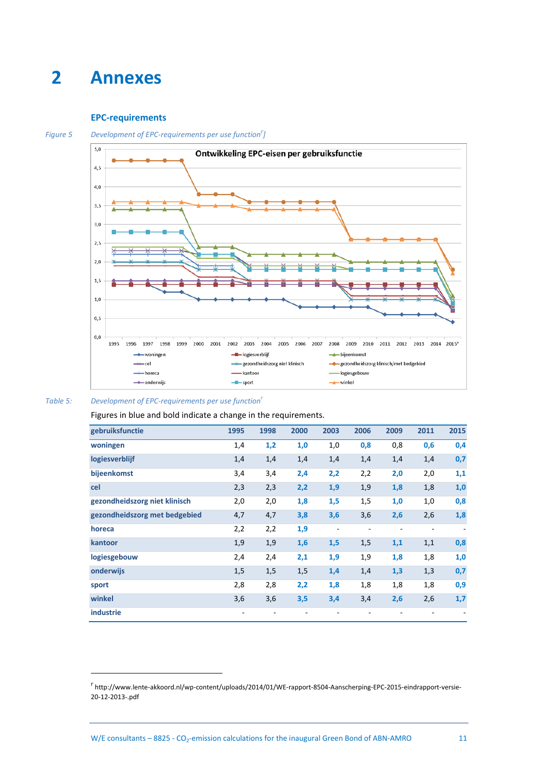## <span id="page-13-0"></span>**2 Annexes**

#### <span id="page-13-3"></span><span id="page-13-1"></span>**EPC-requirements**



*Figure 5 Development of EPC-requirements per use function<sup>r</sup> ]*



 $\overline{a}$ 

<span id="page-13-2"></span>*Table 5: Development of EPC-requirements per use functio[n](#page-13-3)<sup>r</sup>*

Figures in blue and bold indicate a change in the requirements.

| gebruiksfunctie               | 1995 | 1998 | 2000 | 2003                     | 2006                     | 2009                     | 2011 | 2015                     |
|-------------------------------|------|------|------|--------------------------|--------------------------|--------------------------|------|--------------------------|
| woningen                      | 1,4  | 1,2  | 1,0  | 1,0                      | 0,8                      | 0,8                      | 0,6  | 0,4                      |
| logiesverblijf                | 1,4  | 1,4  | 1,4  | 1,4                      | 1,4                      | 1,4                      | 1,4  | 0,7                      |
| bijeenkomst                   | 3,4  | 3,4  | 2,4  | 2,2                      | 2,2                      | 2,0                      | 2,0  | 1,1                      |
| cel                           | 2,3  | 2,3  | 2,2  | 1,9                      | 1,9                      | 1,8                      | 1,8  | 1,0                      |
| gezondheidszorg niet klinisch | 2,0  | 2,0  | 1,8  | 1,5                      | 1,5                      | 1,0                      | 1,0  | 0,8                      |
| gezondheidszorg met bedgebied | 4,7  | 4,7  | 3,8  | 3,6                      | 3,6                      | 2,6                      | 2,6  | 1,8                      |
| horeca                        | 2,2  | 2,2  | 1,9  | $\overline{\phantom{a}}$ | $\overline{\phantom{a}}$ | $\overline{\phantom{a}}$ | ٠    | $\overline{\phantom{0}}$ |
| kantoor                       | 1,9  | 1,9  | 1,6  | 1,5                      | 1,5                      | 1,1                      | 1,1  | 0,8                      |
| logiesgebouw                  | 2,4  | 2,4  | 2,1  | 1,9                      | 1,9                      | 1,8                      | 1,8  | 1,0                      |
| onderwijs                     | 1,5  | 1,5  | 1,5  | 1,4                      | 1,4                      | 1,3                      | 1,3  | 0,7                      |
| sport                         | 2,8  | 2,8  | 2,2  | 1,8                      | 1,8                      | 1,8                      | 1,8  | 0,9                      |
| winkel                        | 3,6  | 3,6  | 3,5  | 3,4                      | 3,4                      | 2,6                      | 2,6  | 1,7                      |
| <b>industrie</b>              |      |      |      |                          |                          |                          |      |                          |

<sup>&</sup>lt;sup>r</sup>http://www.lente-akkoord.nl/wp-content/uploads/2014/01/WE-rapport-8504-Aanscherping-EPC-2015-eindrapport-versie-20-12-2013-.pdf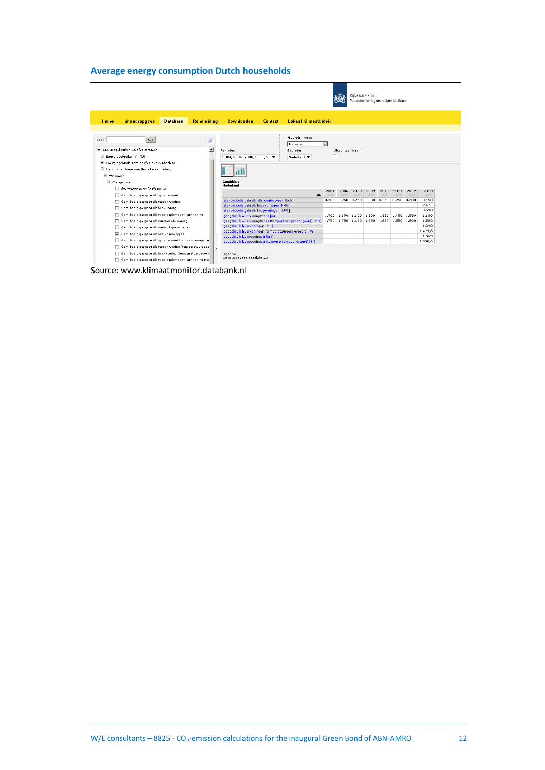### <span id="page-14-0"></span>**Average energy consumption Dutch households**

|                                                                                                             | Rijkswaterstaat<br>Ministerie van Infrastructuur en Milieu                                                                                                    |  |
|-------------------------------------------------------------------------------------------------------------|---------------------------------------------------------------------------------------------------------------------------------------------------------------|--|
| Inhoudsopgave<br><b>Rondleiding</b><br>Home<br><b>Database</b>                                              | <b>Lokaal Klimaatheleid</b><br><b>Downloaden</b><br><b>Contact</b>                                                                                            |  |
|                                                                                                             |                                                                                                                                                               |  |
| Zoek:<br>Ok<br>℞<br>$\blacktriangle$<br>E Energiegebruiken en afvalstromen<br>Energiegebruiken (in TJ)<br>⊞ | Gebiedsniveau<br>Nederland<br>$\overline{ }$<br>Perioden<br>Gebieden<br>Uitsplitsen naar<br>п                                                                 |  |
| ⊞<br>Energiegebruik Totalen (fysieke eenheden)                                                              | 2004, 2006, 2008, 2009, 20 $\blacktriangledown$<br>Nederland $\blacktriangledown$                                                                             |  |
| Gebouwde Omgeving (fysieke eenheden)<br>Woningen                                                            | ш                                                                                                                                                             |  |
| Gasgebruik                                                                                                  | Gemiddeld                                                                                                                                                     |  |
| Alle onderwerpen in dit thema                                                                               | Nederland<br>2006<br>2008<br>2009<br>2011<br>2012<br>2013<br>2004<br>2010                                                                                     |  |
| Gemiddeld gasgebruik appartement                                                                            | AV<br>$\triangle$ $\triangledown$<br>AV<br>AV<br>AV<br>AV<br>AV                                                                                               |  |
| Gemiddeld gasgebruik tussenwoning                                                                           | elektriciteitsgebruik alle woningtypes [kwh]<br>3,250<br>3.250<br>3.250<br>3.250<br>3.200<br>3,300<br>3,200<br>3.150                                          |  |
| Gemiddeld gasgebruik hoekwoning                                                                             | 2.471<br>elektriciteitsgebruik huurwoningen [kWh]                                                                                                             |  |
| Gemiddeld gasgebruik twee-onder-een-kap-woning                                                              | 3,690<br>elektriciteitsgebruik koopwoningen [kWh]<br>1.650<br>1.600<br>1.600<br>1.850<br>1.700<br>1.450 1.550<br>1.600                                        |  |
| Gemiddeld gasgebruik vrijstaande woning                                                                     | gasgebruik alle woningtypes [m3]<br>1.750 1.750<br>1.650<br>1.650<br>1.650 1.550 1.500<br>1.500<br>gasgebruik alle woningtypes (temperatuurgecorrigeerd) [m3] |  |
|                                                                                                             | 1.340<br>gasgebruik huurwoningen [m3]                                                                                                                         |  |
| Gemiddeld gasgebruik woningtype onbekend                                                                    | 1.429.8<br>gasgebruik huurwoningen (temperatuurgecorrigeerd) [96]                                                                                             |  |
| Gemiddeld gasgebruik alle woningtypes<br>⊽                                                                  | 1.865<br>gasgebruik koopwoningen [m3]                                                                                                                         |  |
| Gemiddeld qasqebruik appartement (temperatuurgecor                                                          | 1.990,6<br>gasgebruik koopwoningen (temperatuurgecorrigeerd) [96]                                                                                             |  |
| Gemiddeld gasgebruik tussenwoning (temperatuurgecc                                                          |                                                                                                                                                               |  |
| Gemiddeld gasgebruik hoekwoning (temperatuurgecorr                                                          | Legenda:                                                                                                                                                      |  |
| Gemiddeld gasgebruik twee-onder-een-kap-woning (te                                                          | Geen gegevens beschikbaar                                                                                                                                     |  |

Source: www.klimaatmonitor.databank.nl